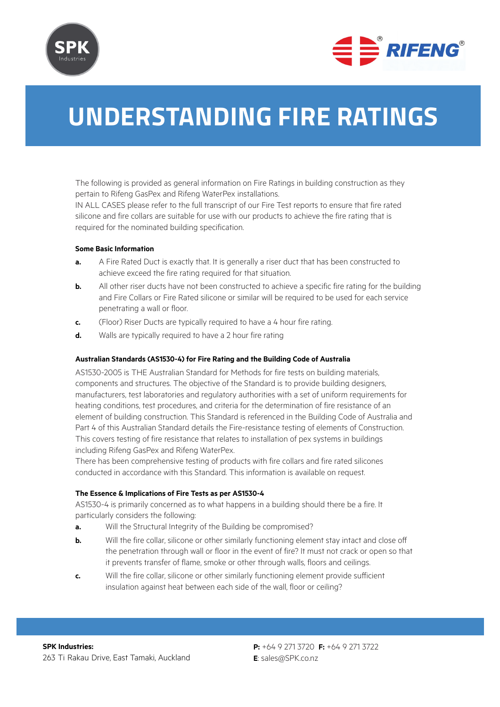



# **Understanding fire ratings**

The following is provided as general information on Fire Ratings in building construction as they pertain to Rifeng GasPex and Rifeng WaterPex installations.

IN ALL CASES please refer to the full transcript of our Fire Test reports to ensure that fire rated silicone and fire collars are suitable for use with our products to achieve the fire rating that is required for the nominated building specification.

#### **Some Basic Information**

- **a.** A Fire Rated Duct is exactly that. It is generally a riser duct that has been constructed to achieve exceed the fire rating required for that situation.
- **b.** All other riser ducts have not been constructed to achieve a specific fire rating for the building and Fire Collars or Fire Rated silicone or similar will be required to be used for each service penetrating a wall or floor.
- **c.** (Floor) Riser Ducts are typically required to have a 4 hour fire rating.
- **d.** Walls are typically required to have a 2 hour fire rating

# **Australian Standards (AS1530-4) for Fire Rating and the Building Code of Australia**

AS1530-2005 is THE Australian Standard for Methods for fire tests on building materials, components and structures. The objective of the Standard is to provide building designers, manufacturers, test laboratories and regulatory authorities with a set of uniform requirements for heating conditions, test procedures, and criteria for the determination of fire resistance of an element of building construction. This Standard is referenced in the Building Code of Australia and Part 4 of this Australian Standard details the Fire-resistance testing of elements of Construction. This covers testing of fire resistance that relates to installation of pex systems in buildings including Rifeng GasPex and Rifeng WaterPex.

There has been comprehensive testing of products with fire collars and fire rated silicones conducted in accordance with this Standard. This information is available on request.

#### **The Essence & Implications of Fire Tests as per AS1530-4**

AS1530-4 is primarily concerned as to what happens in a building should there be a fire. It particularly considers the following:

- **a.** Will the Structural Integrity of the Building be compromised?
- **b.** Will the fire collar, silicone or other similarly functioning element stay intact and close off the penetration through wall or floor in the event of fire? It must not crack or open so that it prevents transfer of flame, smoke or other through walls, floors and ceilings.
- **c.** Will the fire collar, silicone or other similarly functioning element provide sufficient insulation against heat between each side of the wall, floor or ceiling?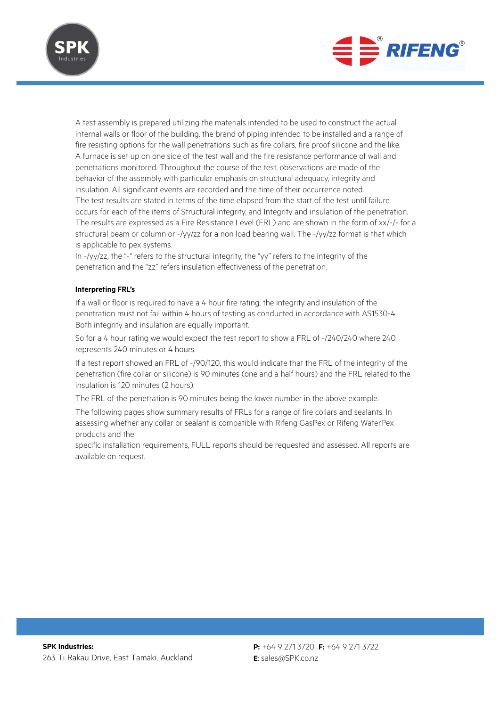



A test assembly is prepared utilizing the materials intended to be used to construct the actual internal walls or floor of the building, the brand of piping intended to be installed and a range of fire resisting options for the wall penetrations such as fire collars, fire proof silicone and the like. A furnace is set up on one side of the test wall and the fire resistance performance of wall and penetrations monitored. Throughout the course of the test, observations are made of the behavior of the assembly with particular emphasis on structural adequacy, integrity and insulation. All significant events are recorded and the time of their occurrence noted. The test results are stated in terms of the time elapsed from the start of the test until failure occurs for each of the items of Structural integrity, and Integrity and insulation of the penetration. The results are expressed as a Fire Resistance Level (FRL) and are shown in the form of xx/-/- for a structural beam or column or -/yy/zz for a non load bearing wall. The -/yy/zz format is that which is applicable to pex systems.

In -/yy/zz, the "-" refers to the structural integrity, the "yy" refers to the integrity of the penetration and the "zz" refers insulation effectiveness of the penetration.

#### **Interpreting FRL's**

If a wall or floor is required to have a 4 hour fire rating, the integrity and insulation of the penetration must not fail within 4 hours of testing as conducted in accordance with AS1530-4. Both integrity and insulation are equally important.

So for a 4 hour rating we would expect the test report to show a FRL of -/240/240 where 240 represents 240 minutes or 4 hours.

If a test report showed an FRL of -/90/120, this would indicate that the FRL of the integrity of the penetration (fire collar or silicone) is 90 minutes (one and a half hours) and the FRL related to the insulation is 120 minutes (2 hours).

The FRL of the penetration is 90 minutes being the lower number in the above example.

The following pages show summary results of FRLs for a range of fire collars and sealants. In assessing whether any collar or sealant is compatible with Rifeng GasPex or Rifeng WaterPex products and the

specific installation requirements, FULL reports should be requested and assessed. All reports are available on request.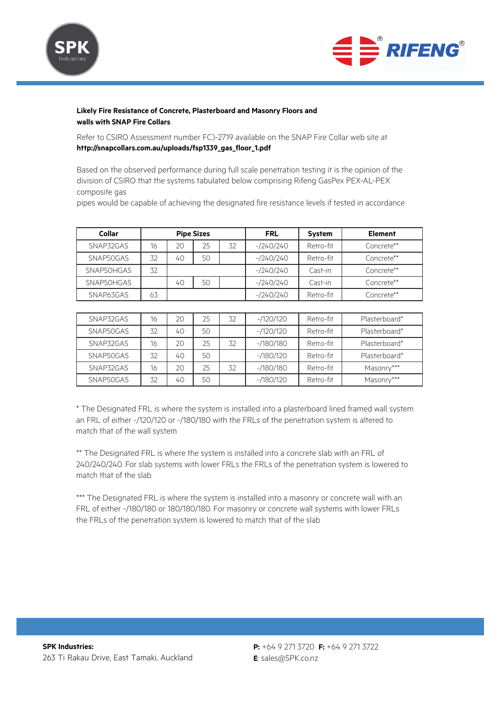



# **Likely Fire Resistance of Concrete, Plasterboard and Masonry Floors and walls with SNAP Fire Collars**

Refer to CSIRO Assessment number FC)-2719 available on the SNAP Fire Collar web site at **http://snapcollars.com.au/uploads/fsp1339\_gas\_floor\_1.pdf**

Based on the observed performance during full scale penetration testing it is the opinion of the division of CSIRO that the systems tabulated below comprising Rifeng GasPex PEX-AL-PEX composite gas

pipes would be capable of achieving the designated fire resistance levels if tested in accordance

| <b>Collar</b> |    | <b>Pipe Sizes</b> |    |    | <b>FRL</b>  | <b>System</b> | <b>Element</b> |
|---------------|----|-------------------|----|----|-------------|---------------|----------------|
| SNAP32GAS     | 16 | 20                | 25 | 32 | $-1240/240$ | Retro-fit     | Concrete**     |
| SNAP50GAS     | 32 | 40                | 50 |    | $-1240/240$ | Retro-fit     | Concrete**     |
| SNAP50HGAS    | 32 |                   |    |    | $-1240/240$ | Cast-in       | Concrete**     |
| SNAP50HGAS    |    | 40                | 50 |    | $-1240/240$ | Cast-in       | Concrete**     |
| SNAP63GAS     | 63 |                   |    |    | $-240/240$  | Retro-fit     | Concrete**     |

| SNAP32GAS | 16 | 20 | 25 | 32 | $-1120/120$ | Retro-fit | Plasterboard* |
|-----------|----|----|----|----|-------------|-----------|---------------|
| SNAP50GAS | 32 | 40 | 50 |    | $-1120/120$ | Retro-fit | Plasterboard* |
| SNAP32GAS | 16 | 20 | 25 | 32 | $-/180/180$ | Retro-fit | Plasterboard* |
| SNAP50GAS | 32 | 40 | 50 |    | $-180/120$  | Retro-fit | Plasterboard* |
| SNAP32GAS | 16 | 20 | 25 | 32 | $-180/180$  | Retro-fit | Masonry***    |
| SNAP50GAS | 32 | 40 | 50 |    | $-180/120$  | Retro-fit | Masonry***    |

\* The Designated FRL is where the system is installed into a plasterboard lined framed wall system an FRL of either -/120/120 or -/180/180 with the FRLs of the penetration system is altered to match that of the wall system

\*\* The Designated FRL is where the system is installed into a concrete slab with an FRL of 240/240/240. For slab systems with lower FRLs the FRLs of the penetration system is lowered to match that of the slab

\*\*\* The Designated FRL is where the system is installed into a masonry or concrete wall with an FRL of either -/180/180 or 180/180/180. For masonry or concrete wall systems with lower FRLs the FRLs of the penetration system is lowered to match that of the slab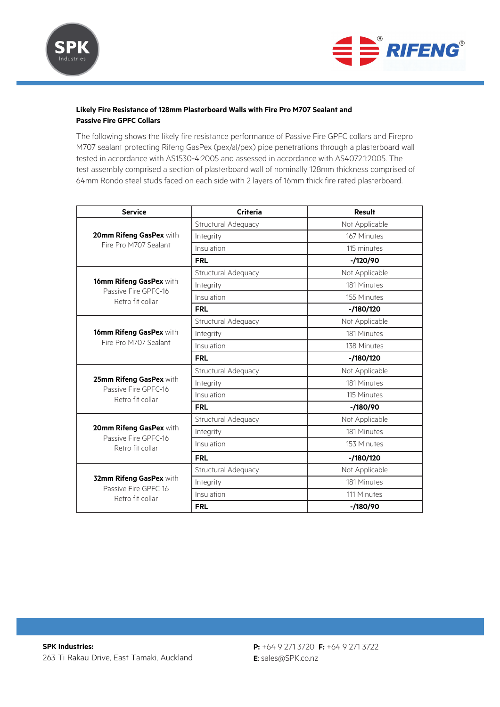



# **Likely Fire Resistance of 128mm Plasterboard Walls with Fire Pro M707 Sealant and Passive Fire GPFC Collars**

The following shows the likely fire resistance performance of Passive Fire GPFC collars and Firepro M707 sealant protecting Rifeng GasPex (pex/al/pex) pipe penetrations through a plasterboard wall tested in accordance with AS1530-4:2005 and assessed in accordance with AS4072.1:2005. The test assembly comprised a section of plasterboard wall of nominally 128mm thickness comprised of 64mm Rondo steel studs faced on each side with 2 layers of 16mm thick fire rated plasterboard.

| <b>Service</b>                                         | <b>Criteria</b>     | <b>Result</b>  |  |
|--------------------------------------------------------|---------------------|----------------|--|
|                                                        | Structural Adequacy | Not Applicable |  |
| 20mm Rifeng GasPex with                                | Integrity           | 167 Minutes    |  |
| Fire Pro M707 Sealant                                  | Insulation          | 115 minutes    |  |
|                                                        | <b>FRL</b>          | $-1/120/90$    |  |
|                                                        | Structural Adequacy | Not Applicable |  |
| 16mm Rifeng GasPex with<br>Passive Fire GPFC-16        | Integrity           | 181 Minutes    |  |
| Retro fit collar                                       | Insulation          | 155 Minutes    |  |
|                                                        | <b>FRL</b>          | $-180/120$     |  |
|                                                        | Structural Adequacy | Not Applicable |  |
| 16mm Rifeng GasPex with                                | Integrity           | 181 Minutes    |  |
| Fire Pro M707 Sealant                                  | Insulation          | 138 Minutes    |  |
|                                                        | <b>FRL</b>          | $-1180/120$    |  |
|                                                        | Structural Adequacy | Not Applicable |  |
| 25mm Rifeng GasPex with<br>Passive Fire GPFC-16        | Integrity           | 181 Minutes    |  |
| Retro fit collar                                       | Insulation          | 115 Minutes    |  |
|                                                        | <b>FRL</b>          | $-1180/90$     |  |
|                                                        | Structural Adequacy | Not Applicable |  |
| 20mm Rifeng GasPex with<br>Passive Fire GPFC-16        | Integrity           | 181 Minutes    |  |
| Retro fit collar                                       | Insulation          | 153 Minutes    |  |
|                                                        | <b>FRL</b>          | $-180/120$     |  |
|                                                        | Structural Adequacy | Not Applicable |  |
| <b>32mm Rifeng GasPex with</b><br>Passive Fire GPFC-16 | Integrity           | 181 Minutes    |  |
| Retro fit collar                                       | Insulation          | 111 Minutes    |  |
|                                                        | <b>FRL</b>          | $-180/90$      |  |